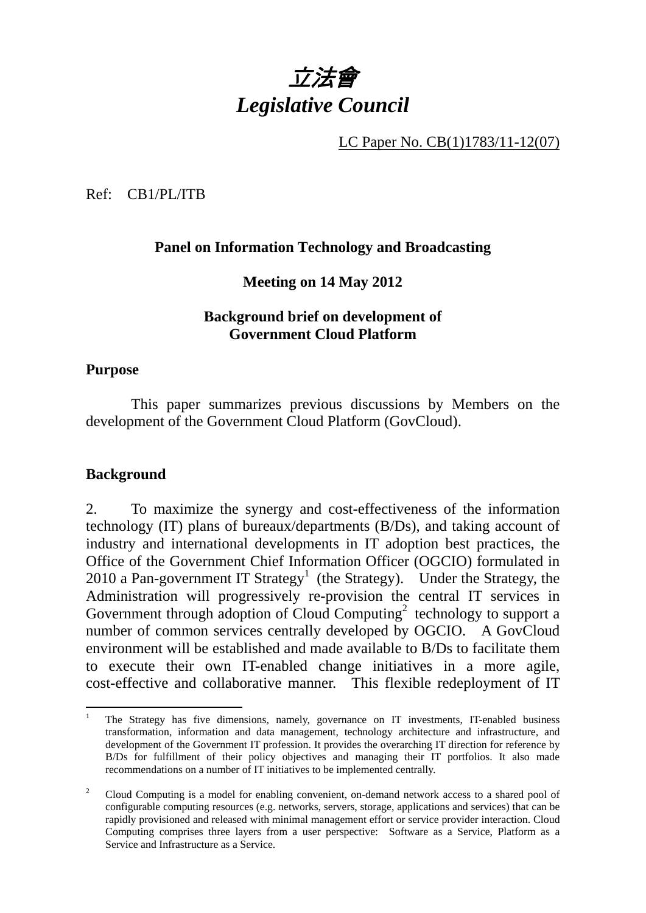

LC Paper No. CB(1)1783/11-12(07)

Ref: CB1/PL/ITB

## **Panel on Information Technology and Broadcasting**

## **Meeting on 14 May 2012**

#### **Background brief on development of Government Cloud Platform**

#### **Purpose**

 This paper summarizes previous discussions by Members on the development of the Government Cloud Platform (GovCloud).

#### **Background**

2. To maximize the synergy and cost-effectiveness of the information technology (IT) plans of bureaux/departments (B/Ds), and taking account of industry and international developments in IT adoption best practices, the Office of the Government Chief Information Officer (OGCIO) formulated in 2010 a Pan-government IT Strategy<sup>1</sup> (the Strategy). Under the Strategy, the Administration will progressively re-provision the central IT services in Government through adoption of Cloud Computing<sup>2</sup> technology to support a number of common services centrally developed by OGCIO. A GovCloud environment will be established and made available to B/Ds to facilitate them to execute their own IT-enabled change initiatives in a more agile, cost-effective and collaborative manner. This flexible redeployment of IT

 $\frac{1}{1}$  The Strategy has five dimensions, namely, governance on IT investments, IT-enabled business transformation, information and data management, technology architecture and infrastructure, and development of the Government IT profession. It provides the overarching IT direction for reference by B/Ds for fulfillment of their policy objectives and managing their IT portfolios. It also made recommendations on a number of IT initiatives to be implemented centrally.

<sup>2</sup> Cloud Computing is a model for enabling convenient, on-demand network access to a shared pool of configurable computing resources (e.g. networks, servers, storage, applications and services) that can be rapidly provisioned and released with minimal management effort or service provider interaction. Cloud Computing comprises three layers from a user perspective: Software as a Service, Platform as a Service and Infrastructure as a Service.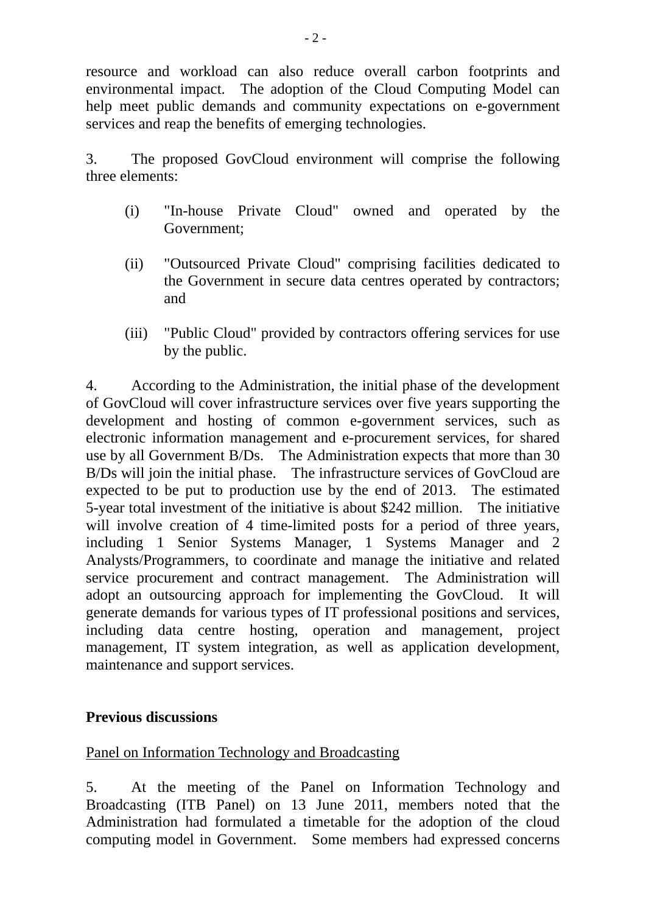resource and workload can also reduce overall carbon footprints and environmental impact. The adoption of the Cloud Computing Model can help meet public demands and community expectations on e-government services and reap the benefits of emerging technologies.

3. The proposed GovCloud environment will comprise the following three elements:

- (i) "In-house Private Cloud" owned and operated by the Government;
- (ii) "Outsourced Private Cloud" comprising facilities dedicated to the Government in secure data centres operated by contractors; and
- (iii) "Public Cloud" provided by contractors offering services for use by the public.

4. According to the Administration, the initial phase of the development of GovCloud will cover infrastructure services over five years supporting the development and hosting of common e-government services, such as electronic information management and e-procurement services, for shared use by all Government B/Ds. The Administration expects that more than 30 B/Ds will join the initial phase. The infrastructure services of GovCloud are expected to be put to production use by the end of 2013. The estimated 5-year total investment of the initiative is about \$242 million. The initiative will involve creation of 4 time-limited posts for a period of three years, including 1 Senior Systems Manager, 1 Systems Manager and 2 Analysts/Programmers, to coordinate and manage the initiative and related service procurement and contract management. The Administration will adopt an outsourcing approach for implementing the GovCloud. It will generate demands for various types of IT professional positions and services, including data centre hosting, operation and management, project management, IT system integration, as well as application development, maintenance and support services.

## **Previous discussions**

## Panel on Information Technology and Broadcasting

5. At the meeting of the Panel on Information Technology and Broadcasting (ITB Panel) on 13 June 2011, members noted that the Administration had formulated a timetable for the adoption of the cloud computing model in Government. Some members had expressed concerns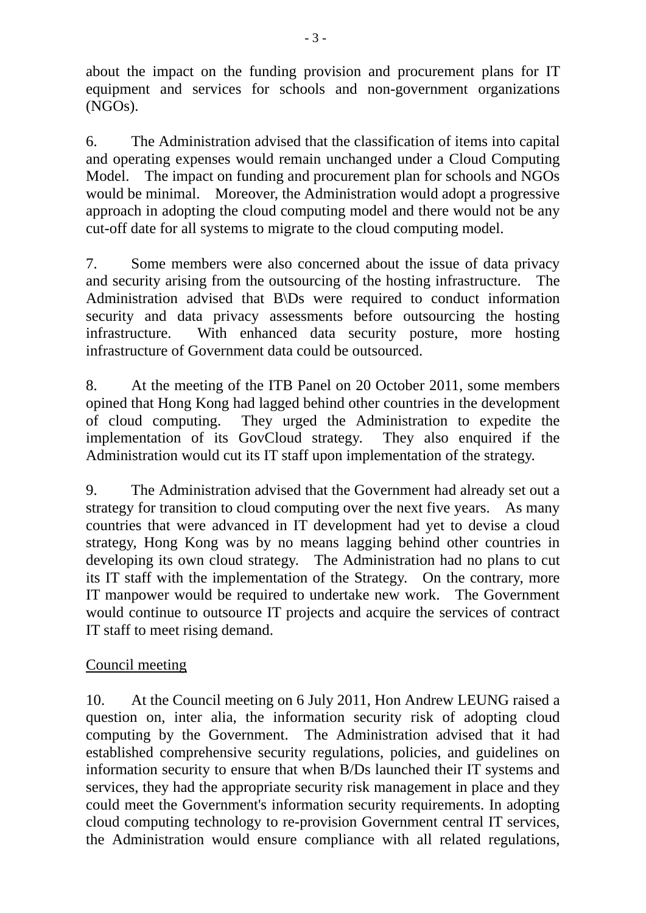about the impact on the funding provision and procurement plans for IT equipment and services for schools and non-government organizations (NGOs).

6. The Administration advised that the classification of items into capital and operating expenses would remain unchanged under a Cloud Computing Model. The impact on funding and procurement plan for schools and NGOs would be minimal. Moreover, the Administration would adopt a progressive approach in adopting the cloud computing model and there would not be any cut-off date for all systems to migrate to the cloud computing model.

7. Some members were also concerned about the issue of data privacy and security arising from the outsourcing of the hosting infrastructure. The Administration advised that B\Ds were required to conduct information security and data privacy assessments before outsourcing the hosting infrastructure. With enhanced data security posture, more hosting infrastructure of Government data could be outsourced.

8. At the meeting of the ITB Panel on 20 October 2011, some members opined that Hong Kong had lagged behind other countries in the development of cloud computing. They urged the Administration to expedite the implementation of its GovCloud strategy. They also enquired if the Administration would cut its IT staff upon implementation of the strategy.

9. The Administration advised that the Government had already set out a strategy for transition to cloud computing over the next five years. As many countries that were advanced in IT development had yet to devise a cloud strategy, Hong Kong was by no means lagging behind other countries in developing its own cloud strategy. The Administration had no plans to cut its IT staff with the implementation of the Strategy. On the contrary, more IT manpower would be required to undertake new work. The Government would continue to outsource IT projects and acquire the services of contract IT staff to meet rising demand.

# Council meeting

10. At the Council meeting on 6 July 2011, Hon Andrew LEUNG raised a question on, inter alia, the information security risk of adopting cloud computing by the Government. The Administration advised that it had established comprehensive security regulations, policies, and guidelines on information security to ensure that when B/Ds launched their IT systems and services, they had the appropriate security risk management in place and they could meet the Government's information security requirements. In adopting cloud computing technology to re-provision Government central IT services, the Administration would ensure compliance with all related regulations,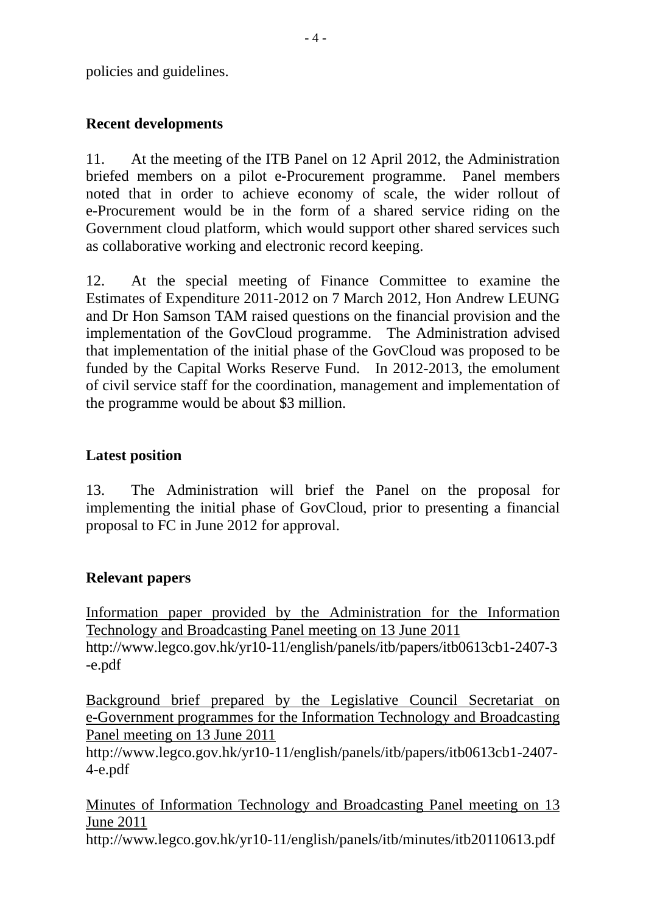policies and guidelines.

# **Recent developments**

11. At the meeting of the ITB Panel on 12 April 2012, the Administration briefed members on a pilot e-Procurement programme. Panel members noted that in order to achieve economy of scale, the wider rollout of e-Procurement would be in the form of a shared service riding on the Government cloud platform, which would support other shared services such as collaborative working and electronic record keeping.

12. At the special meeting of Finance Committee to examine the Estimates of Expenditure 2011-2012 on 7 March 2012, Hon Andrew LEUNG and Dr Hon Samson TAM raised questions on the financial provision and the implementation of the GovCloud programme. The Administration advised that implementation of the initial phase of the GovCloud was proposed to be funded by the Capital Works Reserve Fund. In 2012-2013, the emolument of civil service staff for the coordination, management and implementation of the programme would be about \$3 million.

## **Latest position**

13. The Administration will brief the Panel on the proposal for implementing the initial phase of GovCloud, prior to presenting a financial proposal to FC in June 2012 for approval.

## **Relevant papers**

Information paper provided by the Administration for the Information Technology and Broadcasting Panel meeting on 13 June 2011 http://www.legco.gov.hk/yr10-11/english/panels/itb/papers/itb0613cb1-2407-3 -e.pdf

Background brief prepared by the Legislative Council Secretariat on e-Government programmes for the Information Technology and Broadcasting Panel meeting on 13 June 2011

http://www.legco.gov.hk/yr10-11/english/panels/itb/papers/itb0613cb1-2407- 4-e.pdf

Minutes of Information Technology and Broadcasting Panel meeting on 13 June 2011

http://www.legco.gov.hk/yr10-11/english/panels/itb/minutes/itb20110613.pdf